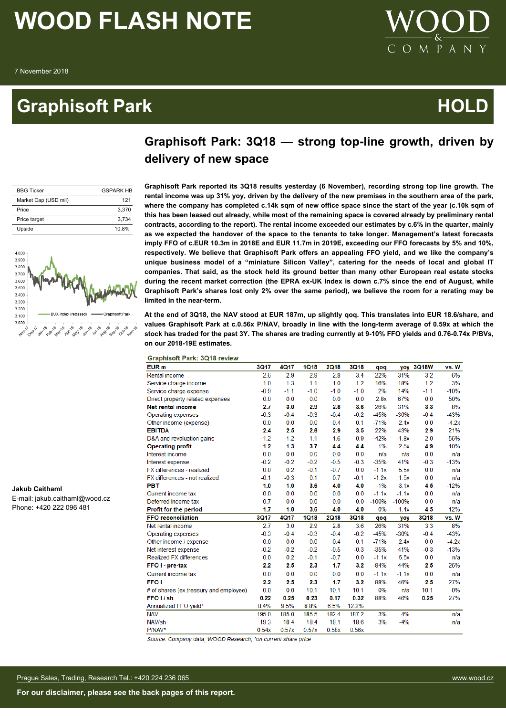### **Graphisoft Park Contract Contract Contract Contract Contract Contract Contract Contract Contract Contract Contract Contract Contract Contract Contract Contract Contract Contract Contract Contract Contract Contract Contrac**



### **Graphisoft Park: 3Q18 — strong top-line growth, driven by delivery of new space**

| <b>BBG Ticker</b>    | <b>GSPARK HR</b> |
|----------------------|------------------|
| Market Cap (USD mil) | 121              |
| Price                | 3.370            |
| Price target         | 3.734            |
| Upside               | 10.8%            |



**Jakub Caithaml**

E-mail: jakub.caithaml@wood.cz Phone: +420 222 096 481

**Graphisoft Park reported its 3Q18 results yesterday (6 November), recording strong top line growth. The rental income was up 31% yoy, driven by the delivery of the new premises in the southern area of the park, where the company has completed c.14k sqm of new office space since the start of the year (c.10k sqm of this has been leased out already, while most of the remaining space is covered already by preliminary rental contracts, according to the report). The rental income exceeded our estimates by c.6% in the quarter, mainly as we expected the handover of the space to the tenants to take longer. Management's latest forecasts imply FFO of c.EUR 10.3m in 2018E and EUR 11.7m in 2019E, exceeding our FFO forecasts by 5% and 10%, respectively. We believe that Graphisoft Park offers an appealing FFO yield, and we like the company's unique business model of a "miniature Silicon Valley", catering for the needs of local and global IT companies. That said, as the stock held its ground better than many other European real estate stocks during the recent market correction (the EPRA ex-UK Index is down c.7% since the end of August, while Graphisoft Park's shares lost only 2% over the same period), we believe the room for a rerating may be limited in the near-term.**

**At the end of 3Q18, the NAV stood at EUR 187m, up slightly qoq. This translates into EUR 18.6/share, and values Graphisoft Park at c.0.56x P/NAV, broadly in line with the long-term average of 0.59x at which the stock has traded for the past 3Y. The shares are trading currently at 9-10% FFO yields and 0.76-0.74x P/BVs, on our 2018-19E estimates.**

| <b>Graphisoft Park: 3Q18 review</b>    |        |             |             |             |             |         |            |             |         |
|----------------------------------------|--------|-------------|-------------|-------------|-------------|---------|------------|-------------|---------|
| EUR <sub>m</sub>                       | 3Q17   | <b>4Q17</b> | <b>1Q18</b> | <b>2Q18</b> | <b>3Q18</b> | qoq     | <b>VOV</b> | 3Q18W       | vs. W   |
| Rental income                          | 2.6    | 2.9         | 2.9         | 2.8         | 3.4         | 22%     | 31%        | 3.2         | 6%      |
| Service charge income                  | 1.0    | 1.3         | 1.1         | 1.0         | 1.2         | 16%     | 18%        | 1.2         | $-3%$   |
| Service charge expense                 | $-0.9$ | $-1.1$      | $-1.0$      | $-1.0$      | $-1.0$      | 2%      | 14%        | $-1.1$      | $-10%$  |
| Direct property related expenses       | 0.0    | 0.0         | 0.0         | 0.0         | 0.0         | 2.8x    | 67%        | 0.0         | 50%     |
| Net rental income                      | 2.7    | 3.0         | 2.9         | 2.8         | 3.6         | 26%     | 31%        | 3.3         | 8%      |
| Operating expenses                     | $-0.3$ | $-0.4$      | $-0.3$      | $-0.4$      | $-0.2$      | $-45%$  | $-30%$     | $-0.4$      | $-43%$  |
| Other income (expense)                 | 0.0    | 0.0         | 0.0         | 0.4         | 0.1         | $-71%$  | 2.4x       | 0.0         | $-4.2x$ |
| <b>EBITDA</b>                          | 2.4    | 2.5         | 2.6         | 2.9         | 3.5         | 22%     | 43%        | 2.9         | 21%     |
| D&A and revaluation gains              | $-1.2$ | $-1.2$      | 1.1         | 1.6         | 0.9         | $-42%$  | $-1.8x$    | 2.0         | $-55%$  |
| <b>Operating profit</b>                | 1.2    | 1.3         | 3.7         | 4.4         | 4.4         | $-1%$   | 2.5x       | 4.9         | $-10%$  |
| Interest income                        | 0.0    | 0.0         | 0.0         | 0.0         | 0.0         | n/a     | n/a        | 0.0         | n/a     |
| Interest expense                       | $-0.2$ | $-0.2$      | $-0.2$      | $-0.5$      | $-0.3$      | $-35%$  | 41%        | $-0.3$      | $-13%$  |
| FX differences - realized              | 0.0    | 0.2         | $-0.1$      | $-0.7$      | 0.0         | $-1.1x$ | 5.5x       | 0.0         | n/a     |
| FX differences - not realized          | $-0.1$ | $-0.3$      | 0.1         | 0.7         | $-0.1$      | $-1.2x$ | 1.5x       | 0.0         | n/a     |
| PBT                                    | 1.0    | 1.0         | 3.6         | 4.0         | 4.0         | $-1%$   | 3.1x       | 4.5         | $-12%$  |
| Current income tax                     | 0.0    | 0.0         | 0.0         | 0.0         | 0.0         | $-1.1x$ | $-1.1x$    | 0.0         | n/a     |
| Deferred income tax                    | 0.7    | 0.0         | 0.0         | 0.0         | 0.0         | $-100%$ | $-100%$    | 0.0         | n/a     |
| Profit for the period                  | 1.7    | 1.0         | 3.6         | 4.0         | 4.0         | 0%      | 1.4x       | 4.5         | $-12%$  |
| <b>FFO reconciliation</b>              | 3Q17   | <b>4Q17</b> | <b>1Q18</b> | <b>2Q18</b> | 3Q18        | qoq     | yoy        | <b>3Q18</b> | vs. W   |
| Net rental income                      | 2.7    | 3.0         | 2.9         | 2.8         | 3.6         | 26%     | 31%        | 3.3         | 8%      |
| Operating expenses                     | $-0.3$ | $-0.4$      | $-0.3$      | $-0.4$      | $-0.2$      | $-45%$  | $-30%$     | $-0.4$      | $-43%$  |
| Other income / expense                 | 0.0    | 0.0         | 0.0         | 0.4         | 0.1         | $-71%$  | 2.4x       | 0.0         | $-4.2x$ |
| Net interest expense                   | $-0.2$ | $-0.2$      | $-0.2$      | $-0.5$      | $-0.3$      | $-35%$  | 41%        | $-0.3$      | $-13%$  |
| <b>Realized FX differences</b>         | 0.0    | 0.2         | $-0.1$      | $-0.7$      | 0.0         | $-1.1x$ | 5.5x       | 0.0         | n/a     |
| FFO I - pre-tax                        | 2.2    | 2.5         | 2.3         | 1.7         | 3.2         | 84%     | 44%        | 2.5         | 26%     |
| Current income tax                     | 0.0    | 0.0         | 0.0         | 0.0         | 0.0         | $-1.1x$ | $-1.1x$    | 0.0         | n/a     |
| <b>FFO1</b>                            | 2.2    | 2.5         | 2.3         | 1.7         | 3.2         | 88%     | 46%        | 2.5         | 27%     |
| # of shares (ex.treasury and employee) | 0.0    | 0.0         | 10.1        | 10.1        | 10.1        | 0%      | n/a        | 10.1        | 0%      |
| FFO I / sh                             | 0.22   | 0.25        | 0.23        | 0.17        | 0.32        | 88%     | 46%        | 0.25        | 27%     |
| Annualized FFO yield*                  | 8.4%   | 9.5%        | 8.8%        | 6.5%        | 12.2%       |         |            |             |         |
| <b>NAV</b>                             | 195.0  | 185.0       | 185.5       | 182.4       | 187.2       | 3%      | $-4%$      |             | n/a     |
| NAV/sh                                 | 19.3   | 18.4        | 18.4        | 18.1        | 18.6        | 3%      | $-4%$      |             | n/a     |
| P/NAV*                                 | 0.54x  | 0.57x       | 0.57x       | 0.58x       | 0.56x       |         |            |             |         |
|                                        |        |             |             |             |             |         |            |             |         |

Source: Company data, WOOD Research; \*on current share price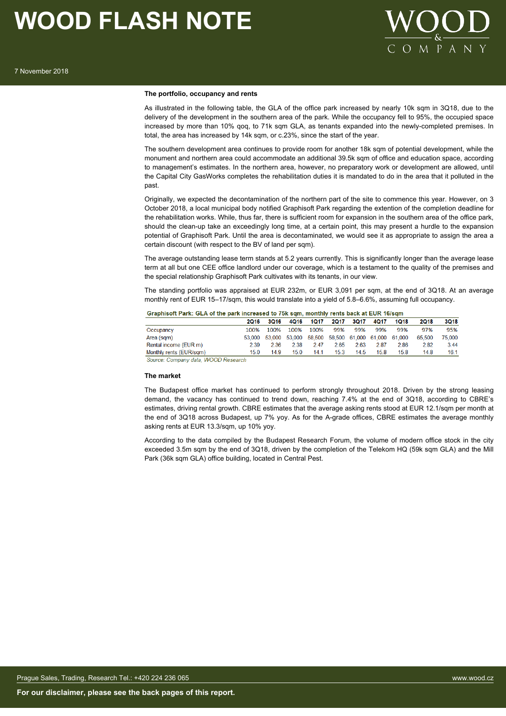

### **The portfolio, occupancy and rents**

As illustrated in the following table, the GLA of the office park increased by nearly 10k sqm in 3Q18, due to the delivery of the development in the southern area of the park. While the occupancy fell to 95%, the occupied space increased by more than 10% qoq, to 71k sqm GLA, as tenants expanded into the newly-completed premises. In total, the area has increased by 14k sqm, or c.23%, since the start of the year.

The southern development area continues to provide room for another 18k sqm of potential development, while the monument and northern area could accommodate an additional 39.5k sqm of office and education space, according to management's estimates. In the northern area, however, no preparatory work or development are allowed, until the Capital City GasWorks completes the rehabilitation duties it is mandated to do in the area that it polluted in the past.

Originally, we expected the decontamination of the northern part of the site to commence this year. However, on 3 October 2018, a local municipal body notified Graphisoft Park regarding the extention of the completion deadline for the rehabilitation works. While, thus far, there is sufficient room for expansion in the southern area of the office park, should the clean-up take an exceedingly long time, at a certain point, this may present a hurdle to the expansion potential of Graphisoft Park. Until the area is decontaminated, we would see it as appropriate to assign the area a certain discount (with respect to the BV of land per sqm).

The average outstanding lease term stands at 5.2 years currently. This is significantly longer than the average lease term at all but one CEE office landlord under our coverage, which is a testament to the quality of the premises and the special relationship Graphisoft Park cultivates with its tenants, in our view.

The standing portfolio was appraised at EUR 232m, or EUR 3,091 per sqm, at the end of 3Q18. At an average monthly rent of EUR 15–17/sqm, this would translate into a yield of 5.8–6.6%, assuming full occupancy.

### Graphisoft Park: GLA of the park increased to 75k sqm, monthly rents back at EUR 16/sqm

|                         | 2016 | 3Q16 | 4016 | 1Q17      | 2Q17 | 3Q17 | 4Q17 | 1018                                                    | 2018   | <b>3Q18</b> |
|-------------------------|------|------|------|-----------|------|------|------|---------------------------------------------------------|--------|-------------|
| Occupancy               | 100% | 100% |      | 100% 100% | 99%  | 99%  | 99%  | 99%                                                     | 97%    | 95%         |
| Area (sqm)              |      |      |      |           |      |      |      | 53,000 53,000 53,000 58,500 58,500 61,000 61,000 61,000 | 65.500 | 75,000      |
| Rental income (EUR m)   | 2.39 | 2.36 | 2.38 | 247       | 2.65 | 2.63 | 287  | 2.86                                                    | 2.82   | 3.44        |
| Monthly rents (EUR/sqm) | 15.0 | 14.9 | 15.0 | 14.1      | 15.3 | 14.5 | 15.8 | 15.8                                                    | 14.8   | 16.1        |
|                         |      |      |      |           |      |      |      |                                                         |        |             |

Source: Company data, WOOD Research

#### **The market**

The Budapest office market has continued to perform strongly throughout 2018. Driven by the strong leasing demand, the vacancy has continued to trend down, reaching 7.4% at the end of 3Q18, according to CBRE's estimates, driving rental growth. CBRE estimates that the average asking rents stood at EUR 12.1/sqm per month at the end of 3Q18 across Budapest, up 7% yoy. As for the A-grade offices, CBRE estimates the average monthly asking rents at EUR 13.3/sqm, up 10% yoy.

According to the data compiled by the Budapest Research Forum, the volume of modern office stock in the city exceeded 3.5m sqm by the end of 3Q18, driven by the completion of the Telekom HQ (59k sqm GLA) and the Mill Park (36k sqm GLA) office building, located in Central Pest.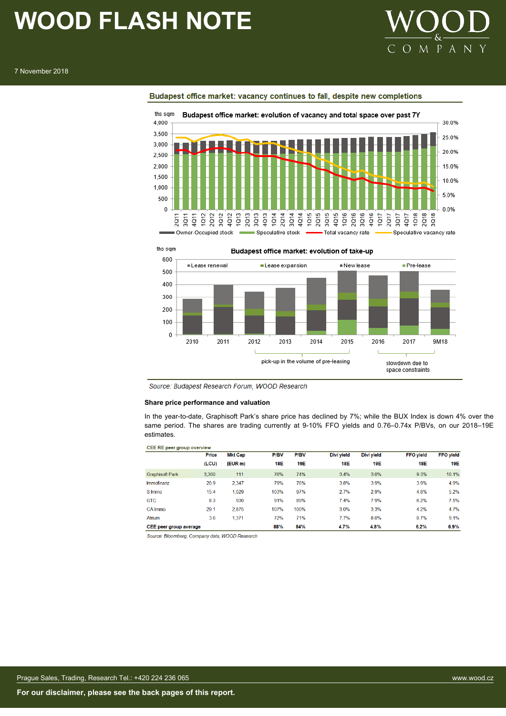

### 7 November 2018



Budapest office market: vacancy continues to fall, despite new completions



Source: Budapest Research Forum, WOOD Research

### **Share price performance and valuation**

In the year-to-date, Graphisoft Park's share price has declined by 7%; while the BUX Index is down 4% over the same period. The shares are trading currently at 9-10% FFO yields and 0.76–0.74x P/BVs, on our 2018–19E estimates.

| <b>CEE RE peer group overview</b> |       |                |             |             |            |            |                  |                  |
|-----------------------------------|-------|----------------|-------------|-------------|------------|------------|------------------|------------------|
|                                   | Price | <b>Mkt Cap</b> | <b>P/BV</b> | <b>P/BV</b> | Divi yield | Divi yield | <b>FFO</b> yield | <b>FFO</b> yield |
|                                   | (LCU) | (EUR m)        | <b>18E</b>  | <b>19E</b>  | 18E        | 19E        | 18E              | <b>19E</b>       |
| <b>Graphisoft Park</b>            | 3.360 | 111            | 76%         | 74%         | 3.4%       | 3.0%       | 9.3%             | 10.1%            |
| Immofinanz                        | 20.9  | 2,347          | 79%         | 76%         | 3.8%       | 3.9%       | 3.9%             | 4.9%             |
| S Immo                            | 15.4  | 1.029          | 103%        | 97%         | 2.7%       | 2.9%       | 4.8%             | 5.2%             |
| <b>GTC</b>                        | 8.3   | 930            | 91%         | 89%         | 7.4%       | 7.9%       | 6.2%             | 7.5%             |
| CA Immo                           | 29.1  | 2.875          | 107%        | 100%        | 3.0%       | 3.3%       | 4.2%             | 4.7%             |
| <b>Atrium</b>                     | 3.6   | 1,371          | 72%         | 71%         | 7.7%       | 8.0%       | 8.7%             | 9.1%             |
| CEE peer group average            |       |                | 88%         | 84%         | 4.7%       | 4.8%       | 6.2%             | 6.9%             |

Source: Bloomberg, Company data, WOOD Research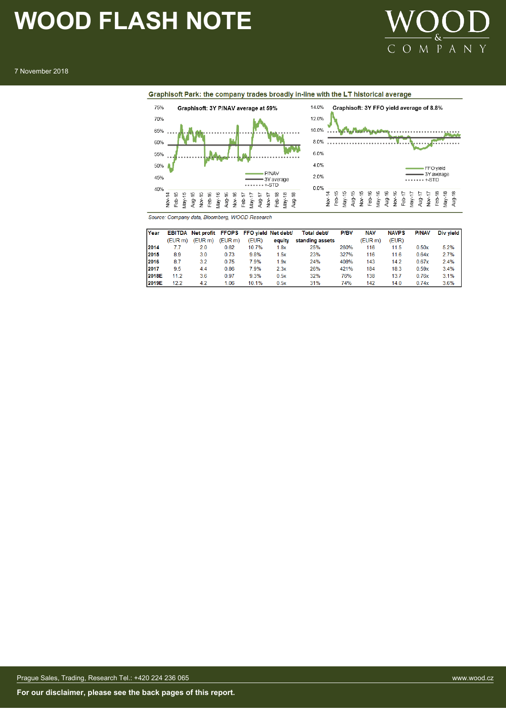

7 November 2018





Source: Company data, Bloomberg, WOOD Research

| Year         |         | EBITDA Net profit FFOPS FFO vield Net debt/ |        |       |        | Total debt/     | <b>P/BV</b> | <b>NAV</b> | <b>NAVPS</b> | <b>P/NAV</b> | Div vield |
|--------------|---------|---------------------------------------------|--------|-------|--------|-----------------|-------------|------------|--------------|--------------|-----------|
|              | (EUR m) | (EUR <sub>m</sub> )                         | (EURm) | (EUR) | equity | standing assets |             | (EUR m)    | (EUR)        |              |           |
| 2014         | 7.7     | 20                                          | 0.62   | 10.7% | 1.8x   | 25%             | 260%        | 116        | 11.5         | 0.50x        | 5.2%      |
| 2015         | 8.9     | 3.0                                         | 0.73   | 9.8%  | 1.5x   | 23%             | 327%        | 116        | 11.6         | 0.64x        | 2.7%      |
| 2016         | 8.7     | 3.2                                         | 0.75   | 7.9%  | .9x    | 24%             | 408%        | 143        | 14.2         | 0.67x        | 2.4%      |
| 12017        | 9.5     | 4.4                                         | 0.86   | 7.9%  | 2.3x   | 26%             | 421%        | 184        | 18.3         | 0.59x        | 3.4%      |
| <b>2018E</b> | 11.2    | 3.6                                         | 0.97   | 9.3%  | 0.5x   | 32%             | 76%         | 138        | 13.7         | 0.76x        | 3.1%      |
| 2019E        | 12.2    | 4.2                                         | 1.06   | 10.1% | 0.5x   | 31%             | 74%         | 142        | 14.0         | 0.74x        | 3.6%      |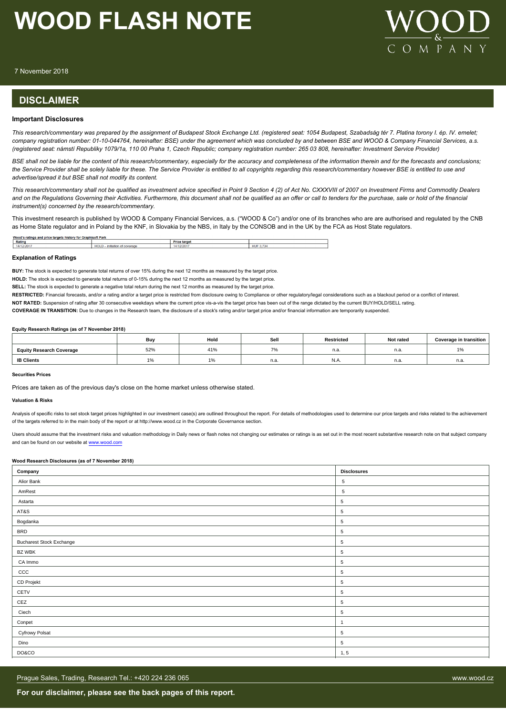

7 November 2018

### **DISCLAIMER**

### **Important Disclosures**

*This research/commentary was prepared by the assignment of Budapest Stock Exchange Ltd. (registered seat: 1054 Budapest, Szabadság tér 7. Platina torony I. ép. IV. emelet; company registration number: 01-10-044764, hereinafter: BSE) under the agreement which was concluded by and between BSE and WOOD & Company Financial Services, a.s. (registered seat: námstí Republiky 1079/1a, 110 00 Praha 1, Czech Republic; company registration number: 265 03 808, hereinafter: Investment Service Provider)*

*BSE shall not be liable for the content of this research/commentary, especially for the accuracy and completeness of the information therein and for the forecasts and conclusions; the Service Provider shall be solely liable for these. The Service Provider is entitled to all copyrights regarding this research/commentary however BSE is entitled to use and advertise/spread it but BSE shall not modify its content.*

*This research/commentary shall not be qualified as investment advice specified in Point 9 Section 4 (2) of Act No. CXXXVIII of 2007 on Investment Firms and Commodity Dealers and on the Regulations Governing their Activities. Furthermore, this document shall not be qualified as an offer or call to tenders for the purchase, sale or hold of the financial instrument(s) concerned by the research/commentary.*

This investment research is published by WOOD & Company Financial Services, a.s. ("WOOD & Co") and/or one of its branches who are are authorised and regulated by the CNB as Home State regulator and in Poland by the KNF, in Slovakia by the NBS, in Italy by the CONSOB and in the UK by the FCA as Host State regulators.

| Wood<br>phisoft Park<br>Gra<br>etargets histo<br>u for 1<br>↑ ratings and pric⊾ |                                                                     |                         |             |  |  |  |
|---------------------------------------------------------------------------------|---------------------------------------------------------------------|-------------------------|-------------|--|--|--|
| Rating                                                                          |                                                                     | <b>Price</b><br>target  |             |  |  |  |
| /12/2017                                                                        | <b>HOT</b><br>initiation<br>i of coverar<br>не солоны эте н<br>שטרי | <b>A 14 *</b><br>12/201 | $-1$<br>HU. |  |  |  |
|                                                                                 |                                                                     |                         |             |  |  |  |

### **Explanation of Ratings**

**BUY:** The stock is expected to generate total returns of over 15% during the next 12 months as measured by the target price.

**HOLD:** The stock is expected to generate total returns of 0-15% during the next 12 months as measured by the target price.

**SELL:** The stock is expected to generate a negative total return during the next 12 months as measured by the target price.

RESTRICTED: Financial forecasts, and/or a rating and/or a target price is restricted from disclosure owing to Compliance or other regulatory/legal considerations such as a blackout period or a conflict of interest.

**NOT RATED:** Suspension of rating after 30 consecutive weekdays where the current price vis-a-vis the target price has been out of the range dictated by the current BUY/HOLD/SELL rating.

**COVERAGE IN TRANSITION:** Due to changes in the Research team, the disclosure of a stock's rating and/or target price and/or financial information are temporarily suspended.

#### **Equity Research Ratings (as of 7 November 2018)**

|                                 | Buy                      | Hold        | Sell          | Restricted | Not rated | <b>Coverage in transition</b> |
|---------------------------------|--------------------------|-------------|---------------|------------|-----------|-------------------------------|
| <b>Equity Research Coverage</b> | 52%                      | 110/<br>170 | $\rightarrow$ | н.а        | n.a.      | l 7o                          |
| <b>IB Clients</b>               | $\overline{\phantom{a}}$ |             | n.a.          | IN.A       | n.a.      | n.a.                          |

### **Securities Prices**

Prices are taken as of the previous day's close on the home market unless otherwise stated.

#### **Valuation & Risks**

Analysis of specific risks to set stock target prices highlighted in our investment case(s) are outlined throughout the report. For details of methodologies used to determine our price targets and risks related to the achi of the targets referred to in the main body of the report or at http://www.wood.cz in the Corporate Governance section.

Users should assume that the investment risks and valuation methodology in Daily news or flash notes not changing our estimates or ratings is as set out in the most recent substantive research note on that subject company and can be found on our website at [www.wood.com](https://research.wood.cz)

### **Wood Research Disclosures (as of 7 November 2018)**

| Company                         | <b>Disclosures</b> |
|---------------------------------|--------------------|
| Alior Bank                      | $\,$ 5 $\,$        |
| AmRest                          | $\,$ 5 $\,$        |
| Astarta                         | $\sqrt{5}$         |
| AT&S                            | $\sqrt{5}$         |
| Bogdanka                        | $\,$ 5 $\,$        |
| <b>BRD</b>                      | $\,$ 5 $\,$        |
| <b>Bucharest Stock Exchange</b> | $\sqrt{5}$         |
| BZ WBK                          | $\sqrt{5}$         |
| CA Immo                         | $\sqrt{5}$         |
| CCC                             | $\,$ 5 $\,$        |
| CD Projekt                      | $\,$ 5 $\,$        |
| CETV                            | $\sqrt{5}$         |
| CEZ                             | 5                  |
| Ciech                           | 5                  |
| Conpet                          | $\overline{1}$     |
| <b>Cyfrowy Polsat</b>           | $\,$ 5 $\,$        |
| Dino                            | $\,$ 5 $\,$        |
| DO&CO                           | 1, 5               |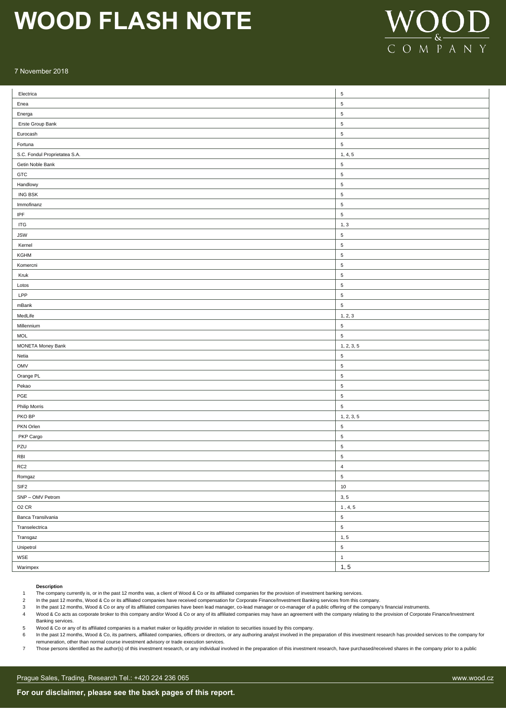

### 7 November 2018

| Electrica                     | $\,$ 5 $\,$    |
|-------------------------------|----------------|
| Enea                          | $\sqrt{5}$     |
| Energa                        | $\sqrt{5}$     |
| Erste Group Bank              | $\overline{5}$ |
| Eurocash                      | $\sqrt{5}$     |
| Fortuna                       | $\sqrt{5}$     |
| S.C. Fondul Proprietatea S.A. | 1, 4, 5        |
| Getin Noble Bank              | $\sqrt{5}$     |
| GTC                           | $\sqrt{5}$     |
| Handlowy                      | $\sqrt{5}$     |
| ING BSK                       | $\overline{5}$ |
| Immofinanz                    | $\,$ 5 $\,$    |
| $\ensuremath{\mathsf{IPF}}$   | $\,$ 5 $\,$    |
| <b>ITG</b>                    | 1, 3           |
| <b>JSW</b>                    | $\sqrt{5}$     |
| Kernel                        | $\sqrt{5}$     |
| KGHM                          | $\sqrt{5}$     |
| Komercni                      | $\sqrt{5}$     |
| Kruk                          | $\sqrt{5}$     |
| Lotos                         | $\sqrt{5}$     |
| LPP                           | $\sqrt{5}$     |
| mBank                         | $\sqrt{5}$     |
| MedLife                       | 1, 2, 3        |
| Millennium                    | $\sqrt{5}$     |
| <b>MOL</b>                    | $\sqrt{5}$     |
| <b>MONETA Money Bank</b>      | 1, 2, 3, 5     |
| Netia                         | $\sqrt{5}$     |
| OMV                           | $\sqrt{5}$     |
| Orange PL                     | $\sqrt{5}$     |
| Pekao                         | $\sqrt{5}$     |
| PGE                           | $\sqrt{5}$     |
| <b>Philip Morris</b>          | $\,$ 5 $\,$    |
| PKO BP                        | 1, 2, 3, 5     |
| PKN Orlen                     | $\overline{5}$ |
| PKP Cargo                     | $\sqrt{5}$     |
| PZU                           | $\sqrt{5}$     |
| RBI                           | $\sqrt{5}$     |
| RC <sub>2</sub>               | 4              |
| Romgaz                        | $\,$ 5 $\,$    |
| SIF <sub>2</sub>              | $10\,$         |
| SNP - OMV Petrom              | 3, 5           |
| O <sub>2</sub> CR             | 1, 4, 5        |
| Banca Transilvania            | $\,$ 5 $\,$    |
| Transelectrica                | $\,$ 5 $\,$    |
| Transgaz                      | 1, 5           |
| Unipetrol                     | $\,$ 5 $\,$    |
| WSE                           | $\mathbf{1}$   |
| Warimpex                      | 1, 5           |

### **Description**

1 The company currently is, or in the past 12 months was, a client of Wood & Co or its affiliated companies for the provision of investment banking services.

In the company concinus it, c. in the past 12 months, and the past 12 months in the past 12 months, Wood & Co or its affiliated companies have received compensation for Corporate Finance/Investment Banking services from th

3 In the past 12 months, Wood & Co or any of its affiliated companies have been lead manager, co-lead manager or co-manager of a public offering of the company's financial instruments.

Wood & Co acts as corporate broker to this company and/or Wood & Co or any of its affiliated companies may have an agreement with the company relating to the provision of Corporate Finance/Investment Banking services.

5 Wood & Co or any of its affiliated companies is a market maker or liquidity provider in relation to securities issued by this company.

6 In the past 12 months, Wood & Co, its partners, affiliated companies, officers or directors, or any authoring analyst involved in the preparation of this investment research has provided services to the company for remuneration, other than normal course investment advisory or trade execution services.

7 Those persons identified as the author(s) of this investment research, or any individual involved in the preparation of this investment research, have purchased/received shares in the company prior to a public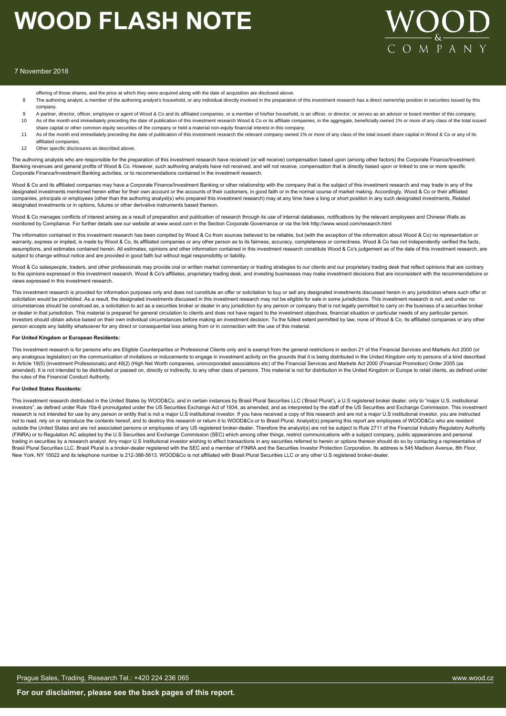

### 7 November 2018

- offering of those shares, and the price at which they were acquired along with the date of acquisition are disclosed above.
- 8 The authoring analyst, a member of the authoring analyst's household, or any individual directly involved in the preparation of this investment research has a direct ownership position in securities issued by this company.
- 9 A partner, director, officer, employee or agent of Wood & Co and its affiliated companies, or a member of his/her household, is an officer, or director, or serves as an advisor or board member of this company. 10 As of the month end immediately preceding the date of publication of this investment research Wood & Co or its affiliate companies, in the aggregate, beneficially owned 1% or more of any class of the total issued share capital or other common equity securities of the company or held a material non-equity financial interest in this company.
- 11 As of the month end immediately preceding the date of publication of this investment research the relevant company owned 1% or more of any class of the total issued share capital in Wood & Co or any of its affiliated companies.
- 12 Other specific disclosures as described above.

The authoring analysts who are responsible for the preparation of this investment research have received (or will receive) compensation based upon (among other factors) the Corporate Finance/Investment Banking revenues and general profits of Wood & Co. However, such authoring analysts have not received, and will not receive, compensation that is directly based upon or linked to one or more specific Corporate Finance/Investment Banking activities, or to recommendations contained in the investment research.

Wood & Co and its affiliated companies may have a Corporate Finance/Investment Banking or other relationship with the company that is the subject of this investment research and may trade in any of the designated investments mentioned herein either for their own account or the accounts of their customers, in good faith or in the normal course of market making. Accordingly, Wood & Co or their affiliated companies, principals or employees (other than the authoring analyst(s) who prepared this investment research) may at any time have a long or short position in any such designated investments, Related designated investments or in options, futures or other derivative instruments based thereon.

Wood & Co manages conflicts of interest arising as a result of preparation and publication of research through its use of internal databases, notifications by the relevant employees and Chinese Walls as monitored by Compliance. For further details see our website at www.wood.com in the Section Corporate Governance or via the link http://www.wood.com/research.html

The information contained in this investment research has been compiled by Wood & Co from sources believed to be reliable, but (with the exception of the information about Wood & Co) no representation or warranty, express or implied, is made by Wood & Co, its affiliated companies or any other person as to its fairness, accuracy, completeness or correctness. Wood & Co has not independently verified the facts, assumptions, and estimates contained herein. All estimates, opinions and other information contained in this investment research constitute Wood & Co's judgement as of the date of this investment research, are subject to change without notice and are provided in good faith but without legal responsibility or liability.

Wood & Co salespeople, traders, and other professionals may provide oral or written market commentary or trading strategies to our clients and our proprietary trading desk that reflect opinions that are contrary to the opinions expressed in this investment research. Wood & Co's affiliates, proprietary trading desk, and investing businesses may make investment decisions that are inconsistent with the recommendations or views expressed in this investment research.

This investment research is provided for information purposes only and does not constitute an offer or solicitation to buy or sell any designated investments discussed herein in any jurisdiction where such offer or solicitation would be prohibited. As a result, the designated investments discussed in this investment research may not be eligible for sale in some jurisdictions. This investment research is not, and under no circumstances should be construed as, a solicitation to act as a securities broker or dealer in any jurisdiction by any person or company that is not legally permitted to carry on the business of a securities broker or dealer in that jurisdiction. This material is prepared for general circulation to clients and does not have regard to the investment objectives, financial situation or particular needs of any particular person. Investors should obtain advice based on their own individual circumstances before making an investment decision. To the fullest extent permitted by law, none of Wood & Co, its affiliated companies or any other person accepts any liability whatsoever for any direct or consequential loss arising from or in connection with the use of this material.

#### **For United Kingdom or European Residents:**

This investment research is for persons who are Eligible Counterparties or Professional Clients only and is exempt from the general restrictions in section 21 of the Financial Services and Markets Act 2000 (or any analogous legislation) on the communication of invitations or inducements to engage in investment activity on the grounds that it is being distributed in the United Kingdom only to persons of a kind described in Article 19(5) (Investment Professionals) and 49(2) (High Net Worth companies, unincorporated associations etc) of the Financial Services and Markets Act 2000 (Financial Promotion) Order 2005 (as amended). It is not intended to be distributed or passed on, directly or indirectly, to any other class of persons. This material is not for distribution in the United Kingdom or Europe to retail clients, as defined under the rules of the Financial Conduct Authority.

### **For United States Residents:**

This investment research distributed in the United States by WOOD&Co, and in certain instances by Brasil Plural Securities LLC ('Brasil Plural'), a U.S registered broker dealer, only to "major U.S. institutional investors", as defined under Rule 15a-6 promulgated under the US Securities Exchange Act of 1934, as amended, and as interpreted by the staff of the US Securities and Exchange Commission. This investment research is not intended for use by any person or entity that is not a major U.S institutional investor. If you have received a copy of this research and are not a major U.S institutional investor, you are instructed not to read, rely on or reproduce the contents hereof, and to destroy this research or return it to WOOD&Co or to Brasil Plural. Analyst(s) preparing this report are employees of WOOD&Co who are resident outside the United States and are not associated persons or employees of any US registered broker-dealer. Therefore the analyst(s) are not be subject to Rule 2711 of the Financial Industry Regulatory Authority (FINRA) or to Regulation AC adopted by the U.S Securities and Exchange Commission (SEC) which among other things, restrict communications with a subject company, public appearances and personal trading in securities by a research analyst. Any major U.S Institutional investor wishing to effect transactions in any securities referred to herein or options thereon should do so by contacting a representative of Brasil Plural Securities LLC. Brasil Plural is a broker-dealer registered with the SEC and a member of FINRA and the Securities Investor Protection Corporation. Its address is 545 Madison Avenue, 8th Floor, New York, NY 10022 and its telephone number is 212-388-5613. WOOD&Co is not affiliated with Brasil Plural Securities LLC or any other U.S registered broker-dealer.